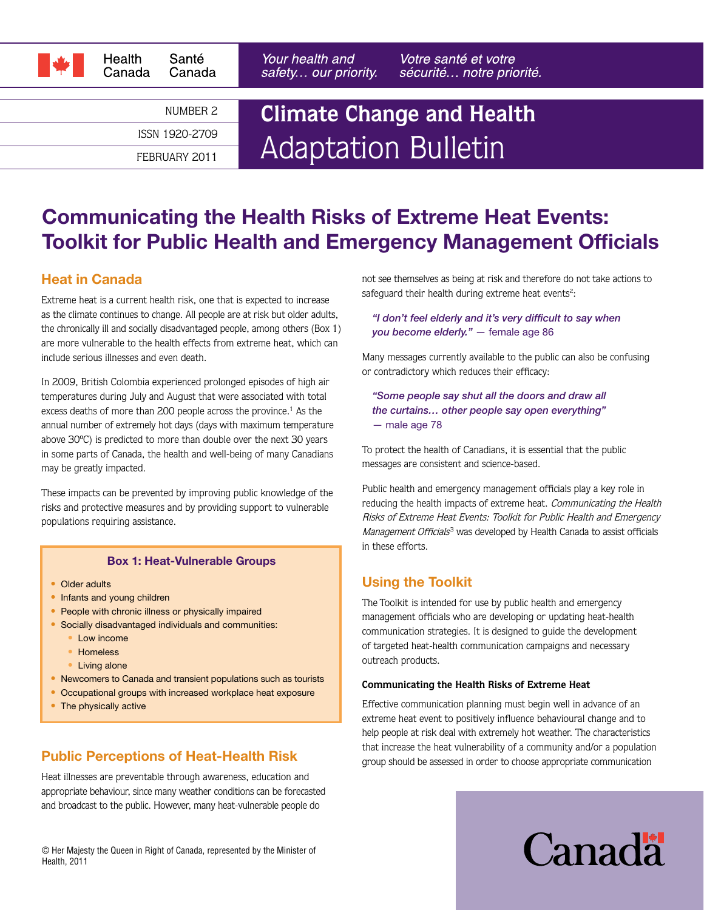

NUMBER 2

ISSN 1920-2709

FEBRUARY 2011

Your health and safety... our priority. Votre santé et votre sécurité... notre priorité.

# **Climate Change and Health** Adaptation Bulletin

# Communicating the Health Risks of Extreme Heat Events: Toolkit for Public Health and Emergency Management Officials

### Heat in Canada

Extreme heat is a current health risk, one that is expected to increase as the climate continues to change. All people are at risk but older adults, the chronically ill and socially disadvantaged people, among others (Box 1) are more vulnerable to the health effects from extreme heat, which can include serious illnesses and even death.

In 2009, British Colombia experienced prolonged episodes of high air temperatures during July and August that were associated with total excess deaths of more than 200 people across the province.<sup>1</sup> As the annual number of extremely hot days (days with maximum temperature above 30ºC) is predicted to more than double over the next 30 years in some parts of Canada, the health and well-being of many Canadians may be greatly impacted.

These impacts can be prevented by improving public knowledge of the risks and protective measures and by providing support to vulnerable populations requiring assistance.

#### Box 1: Heat-Vulnerable Groups

- Older adults
- Infants and young children
- People with chronic illness or physically impaired
- Socially disadvantaged individuals and communities:
	- Low income
	- Homeless
	- Living alone
- Newcomers to Canada and transient populations such as tourists
- Occupational groups with increased workplace heat exposure
- The physically active

# Public Perceptions of Heat-Health Risk

Heat illnesses are preventable through awareness, education and appropriate behaviour, since many weather conditions can be forecasted and broadcast to the public. However, many heat-vulnerable people do

© Her Majesty the Queen in Right of Canada, represented by the Minister of Health, 2011

not see themselves as being at risk and therefore do not take actions to safeguard their health during extreme heat events<sup>2</sup>:

#### *"I don't feel elderly and it's very difficult to say when you become elderly."* — female age 86

Many messages currently available to the public can also be confusing or contradictory which reduces their efficacy:

*"Some people say shut all the doors and draw all the curtains… other people say open everything"*  — male age 78

To protect the health of Canadians, it is essential that the public messages are consistent and science-based.

Public health and emergency management officials play a key role in reducing the health impacts of extreme heat. Communicating the Health Risks of Extreme Heat Events: Toolkit for Public Health and Emergency Management Officials<sup>3</sup> was developed by Health Canada to assist officials in these efforts.

# Using the Toolkit

The Toolkit is intended for use by public health and emergency management officials who are developing or updating heat-health communication strategies. It is designed to guide the development of targeted heat-health communication campaigns and necessary outreach products.

#### **Communicating the Health Risks of Extreme Heat**

Effective communication planning must begin well in advance of an extreme heat event to positively influence behavioural change and to help people at risk deal with extremely hot weather. The characteristics that increase the heat vulnerability of a community and/or a population group should be assessed in order to choose appropriate communication